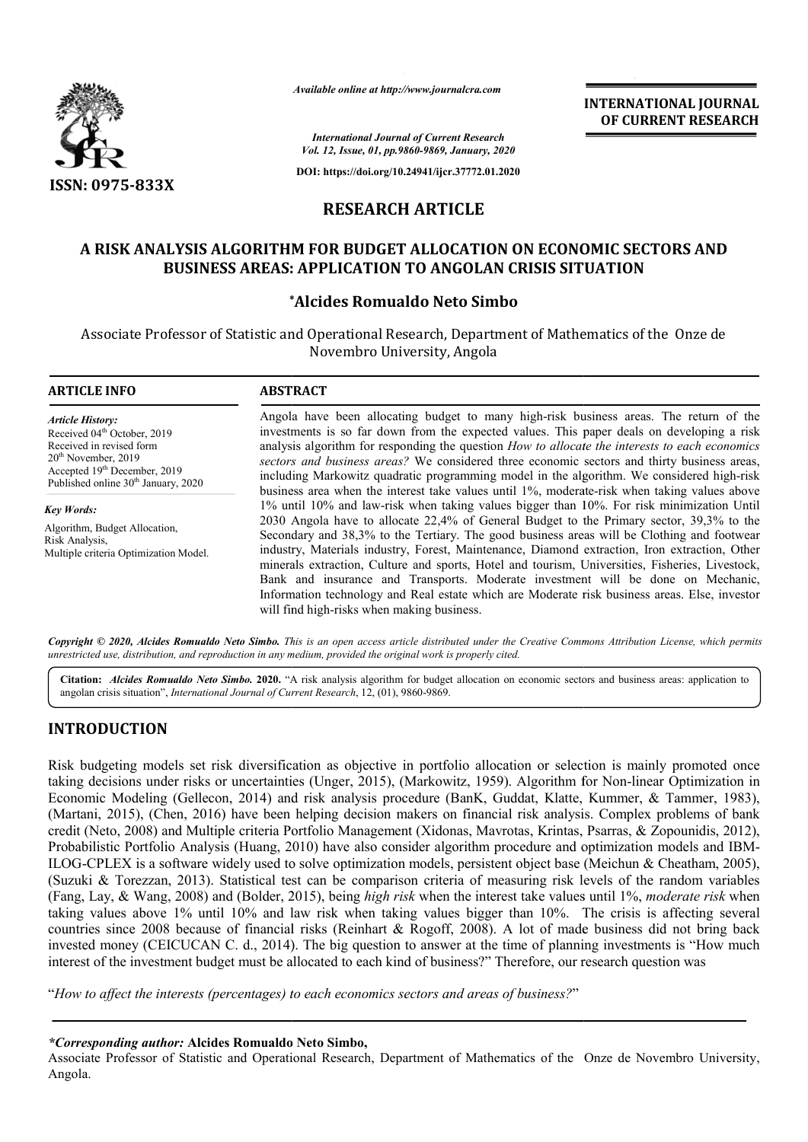

*Available online at http://www.journalcra.com*

**INTERNATIONAL JOURNAL OF CURRENT RESEARCH**

*International Journal of Current Research Vol. 12, Issue, 01, pp.9860-9869, January, 2020*

**DOI: https://doi.org/10.24941/ijcr.37772.01.2020**

# **RESEARCH ARTICLE**

# **A RISK ANALYSIS ALGORITHM FOR BUDGET ALLOCATION ON ECONOMIC SECTORS AND**  LYSIS ALGORITHM FOR BUDGET ALLOCATION ON ECONOMIC SE(<br>BUSINESS AREAS: APPLICATION TO ANGOLAN CRISIS SITUATION

# **\* \*Alcides Romualdo Neto Simbo**

Associate Professor of Statistic and Operational Research, Department of Mathematics of the Onze de Novembro University, Angola

#### **ARTICLE INFO ABSTRACT**

*Article History:* Received 04<sup>th</sup> October, 2019 Received in revised form 20th November, 2019 Accepted 19<sup>th</sup> December, 2019 Published online 30<sup>th</sup> January, 2020

*Key Words:* Algorithm, Budget Allocation, Risk Analysis, Multiple criteria Optimization Model.

Angola have been allocating budget to many high high-risk business areas. The return of the Angola have been allocating budget to many high-risk business areas. The return of the investments is so far down from the expected values. This paper deals on developing a risk analysis algorithm for responding the question *How to allocate the interests t to each economics sectors and business areas?* We considered three economic sectors and thirty business areas, sectors and business areas? We considered three economic sectors and thirty business areas, including Markowitz quadratic programming model in the algorithm. We considered high-risk business area when the interest take values until 1%, moderate-risk when taking values above 1% until 10% and law law-risk when taking values bigger than 10%. For risk minimization Until 2030 Angola have to allocate 22,4% of General Budget to the Primary sector, 39,3% to the Secondary and 38,3% to the Tertiary. The good business areas will be Clothing and footwear industry, Materials industry, Forest, Maintenance, Diamond extraction, Iron extraction, Other minerals extraction, Culture and sports, Hotel and tourism, Universities, Fisheries, Livestock, Bank and insu insurance and Transports. Moderate investment will be done on Mechanic, Information technology and Real estate which are Moderate risk business areas. Else, investor will find high-risks when making business. 1% until 10% and law-risk when taking values bigger than 10%. For risk minimization Until 2030 Angola have to allocate 22,4% of General Budget to the Primary sector, 39,3% to the Secondary and 38,3% to the Tertiary. The go

Copyright © 2020, Alcides Romualdo Neto Simbo. This is an open access article distributed under the Creative Commons Attribution License, which permits *unrestricted use, distribution, and reproduction in any medium, provided the original work is properly cited.*

Citation: *Alcides Romualdo Neto Simbo.* 2020. "A risk analysis algorithm for budget allocation on economic sectors and business areas: application to angolan crisis situation", *International Journal of Current Research*, 12, (01), 9860-9869.

# **INTRODUCTION**

Risk budgeting models set risk diversification as objective in portfolio allocation or selection is mainly promoted once Risk budgeting models set risk diversification as objective in portfolio allocation or selection is mainly promoted once<br>taking decisions under risks or uncertainties (Unger, 2015), (Markowitz, 1959). Algorithm for Non-lin Economic Modeling (Gellecon, 2014) and risk analysis procedure (BanK, Guddat, Klatte, Kummer, & Tammer, 1983), (Martani, 2015), (Chen, 2016) have been helping decision makers on financial risk analysis. Complex problems of bank credit (Neto, 2008) and Multiple criteria Portfolio Management (Xidonas, Mavrotas, Krintas, Psarras, & Zopounidis, 2012) Psarras, & 2012), Probabilistic Portfolio Analysis (Huang, 2010) have also consider algorithm procedure and optimization models and IBM-ILOG-CPLEX is a software widely used to solve optimization models, persistent object base (Meichun & Cheatham, 2005), (Suzuki & Torezzan, 2013). Statistical test can be comparison criteria of measuring risk levels of the random variables (Suzuki & Torezzan, 2013). Statistical test can be comparison criteria of measuring risk levels of the random variables<br>(Fang, Lay, & Wang, 2008) and (Bolder, 2015), being *high risk* when the interest take values until 1% taking values above 1% until 10% and law risk when taking values bigger than 10%. The crisis is affecting several countries since 2008 because of financial risks (Reinhart & Rogoff, 2008). A lot of made business did not bring back invested money (CEICUCAN C. d., 2014). The big question to answer at the time of planning investments is "How much interest of the investment budget must be allocated to each kind of business?" Therefore, our research question was **INTERNATIONAL JOUTNAL IS (1998)**<br>
The United State of Corres Records<br>
The United State of the Corres Records<br>
The United State of the Corres Records<br>
The United State of the Corres Records<br>
The UNICOLE STATE ALLOCATION O

"*How to affect the interests (percentages) to each economics sectors and areas of business business?*"

## *\*Corresponding author:* **Alcides Romualdo Neto Simbo Simbo,**

Associate Professor of Statistic and Operational Research, Department of Mathematics of the Onze de Novembro University, Angola.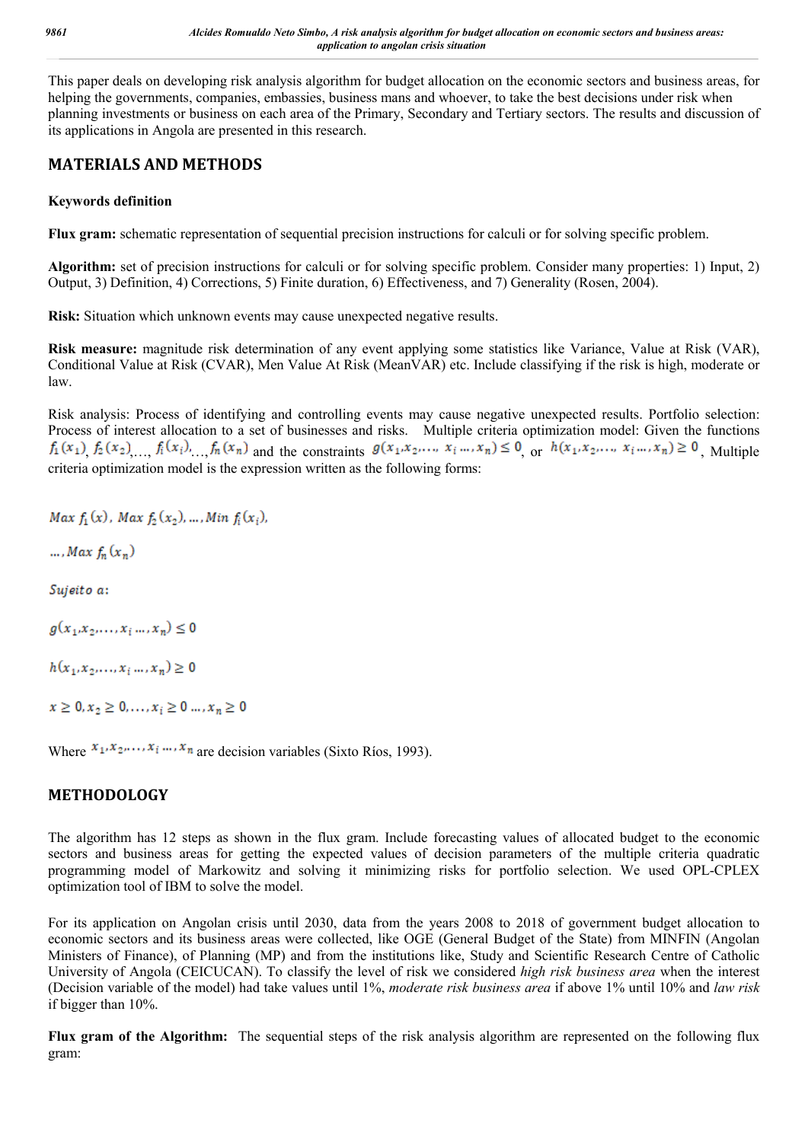This paper deals on developing risk analysis algorithm for budget allocation on the economic sectors and business areas, for helping the governments, companies, embassies, business mans and whoever, to take the best decisions under risk when planning investments or business on each area of the Primary, Secondary and Tertiary sectors. The results and discussion of its applications in Angola are presented in this research.

# **MATERIALS AND METHODS**

# **Keywords definition**

**Flux gram:** schematic representation of sequential precision instructions for calculi or for solving specific problem.

**Algorithm:** set of precision instructions for calculi or for solving specific problem. Consider many properties: 1) Input, 2) Output, 3) Definition, 4) Corrections, 5) Finite duration, 6) Effectiveness, and 7) Generality (Rosen, 2004).

**Risk:** Situation which unknown events may cause unexpected negative results.

**Risk measure:** magnitude risk determination of any event applying some statistics like Variance, Value at Risk (VAR), Conditional Value at Risk (CVAR), Men Value At Risk (MeanVAR) etc. Include classifying if the risk is high, moderate or law.

Risk analysis: Process of identifying and controlling events may cause negative unexpected results. Portfolio selection: Process of interest allocation to a set of businesses and risks. Multiple criteria optimization model: Given the functions  $f_1(x_1)$   $f_2(x_2)$ ,  $f_i(x_i)$ ,  $f_n(x_n)$  and the constraints  $g(x_1, x_2,..., x_i,..., x_n) \le 0$  or  $h(x_1, x_2,..., x_i,..., x_n) \ge 0$ . Multiple criteria optimization model is the expression written as the following forms:

Max  $f_1(x)$ , Max  $f_2(x_2)$ , ..., Min  $f_i(x_i)$ ,

..., Max  $f_n(x_n)$ 

Sujeito a:

 $g(x_1, x_2, \ldots, x_i, \ldots, x_n) \leq 0$ 

 $h(x_1, x_2, \ldots, x_i, \ldots, x_n) \geq 0$ 

 $x \ge 0, x_2 \ge 0, \ldots, x_i \ge 0 \ldots, x_n \ge 0$ 

Where  $x_1, x_2, \ldots, x_i, \ldots, x_n$  are decision variables (Sixto Ríos, 1993).

# **METHODOLOGY**

The algorithm has 12 steps as shown in the flux gram. Include forecasting values of allocated budget to the economic sectors and business areas for getting the expected values of decision parameters of the multiple criteria quadratic programming model of Markowitz and solving it minimizing risks for portfolio selection. We used OPL-CPLEX optimization tool of IBM to solve the model.

For its application on Angolan crisis until 2030, data from the years 2008 to 2018 of government budget allocation to economic sectors and its business areas were collected, like OGE (General Budget of the State) from MINFIN (Angolan Ministers of Finance), of Planning (MP) and from the institutions like, Study and Scientific Research Centre of Catholic University of Angola (CEICUCAN). To classify the level of risk we considered *high risk business area* when the interest (Decision variable of the model) had take values until 1%, *moderate risk business area* if above 1% until 10% and *law risk*  if bigger than 10%.

**Flux gram of the Algorithm:** The sequential steps of the risk analysis algorithm are represented on the following flux gram: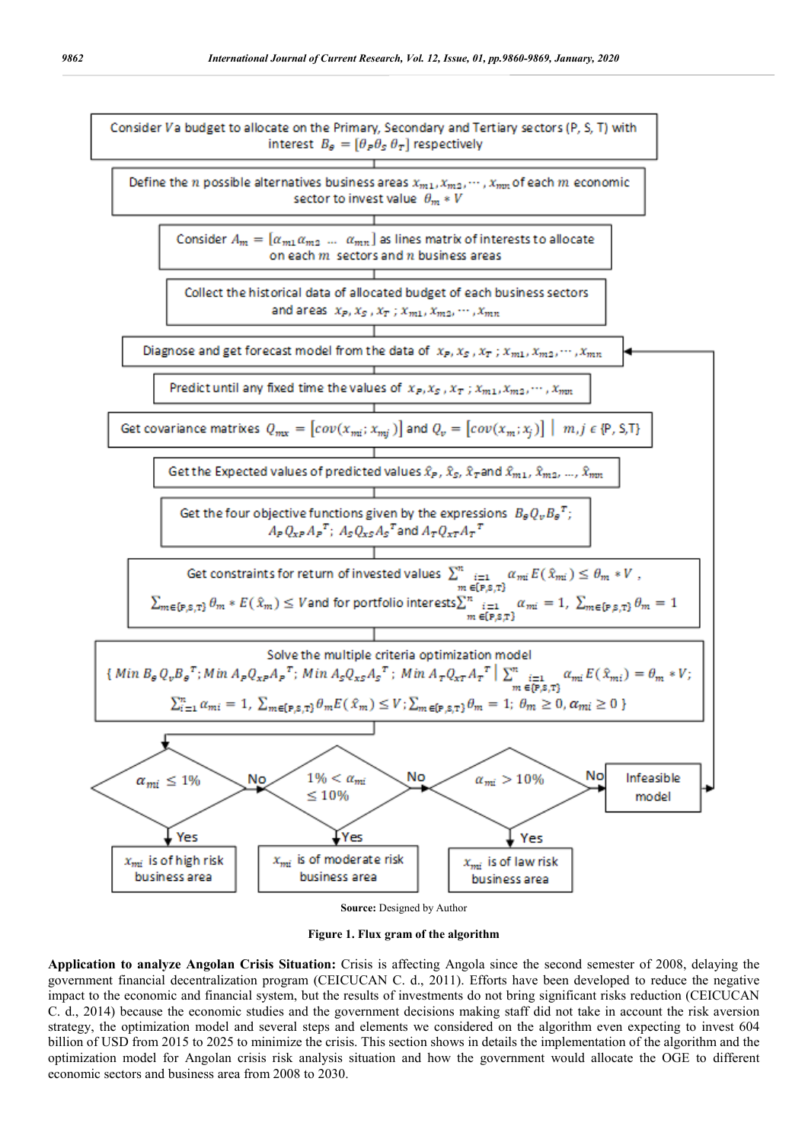



**Figure 1. Flux gram of the algorithm**

**Application to analyze Angolan Crisis Situation:** Crisis is affecting Angola since the second semester of 2008, delaying the government financial decentralization program (CEICUCAN C. d., 2011). Efforts have been developed to reduce the negative impact to the economic and financial system, but the results of investments do not bring significant risks reduction (CEICUCAN C. d., 2014) because the economic studies and the government decisions making staff did not take in account the risk aversion strategy, the optimization model and several steps and elements we considered on the algorithm even expecting to invest 604 billion of USD from 2015 to 2025 to minimize the crisis. This section shows in details the implementation of the algorithm and the optimization model for Angolan crisis risk analysis situation and how the government would allocate the OGE to different economic sectors and business area from 2008 to 2030.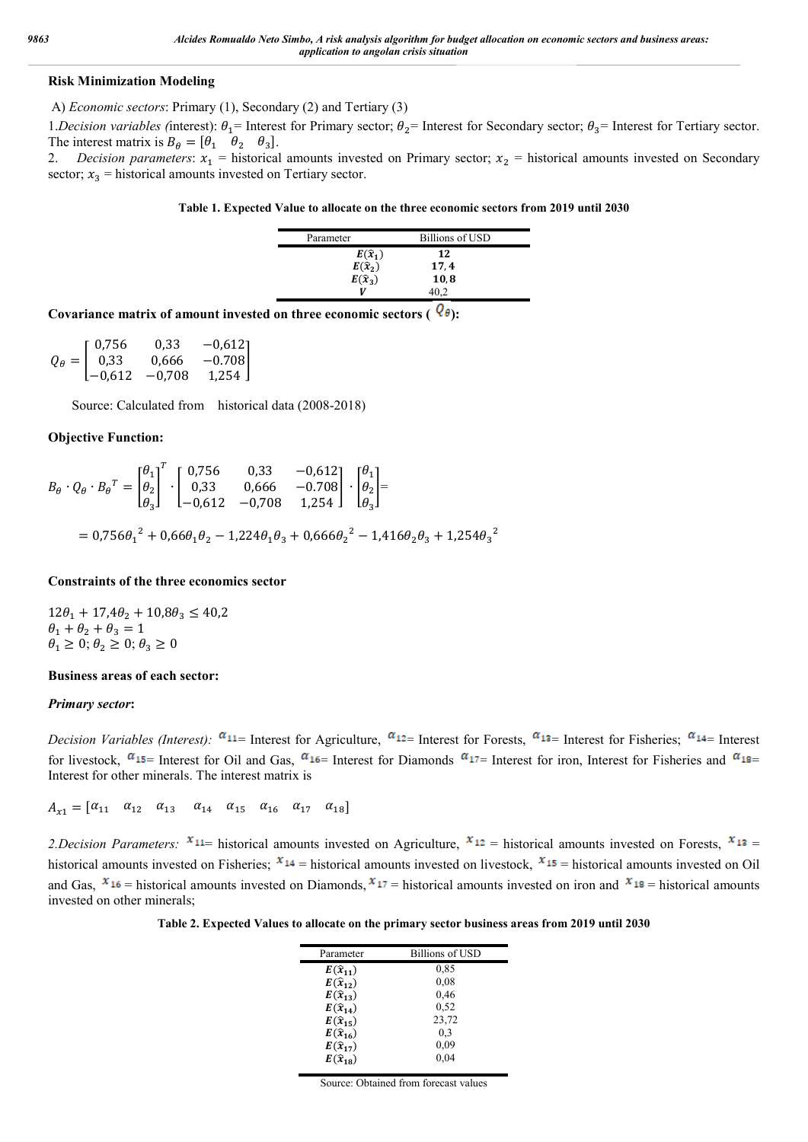### **Risk Minimization Modeling**

A) *Economic sectors*: Primary (1), Secondary (2) and Tertiary (3)

1.*Decision variables (interest):*  $\theta_1$  = Interest for Primary sector;  $\theta_2$  = Interest for Secondary sector;  $\theta_3$  = Interest for Tertiary sector. The interest matrix is  $B_{\theta} = [\theta_1 \ \theta_2 \ \theta_3].$ <br>2. Decision parameters:  $x_1 =$  historical

*Decision parameters*:  $x_1$  = historical amounts invested on Primary sector;  $x_2$  = historical amounts invested on Secondary sector;  $x_3$  = historical amounts invested on Tertiary sector.

**Table 1. Expected Value to allocate on the three economic sectors from 2019 until 2030**

| Parameter      | <b>Billions of USD</b> |  |
|----------------|------------------------|--|
| $E(\hat{x}_1)$ | 12                     |  |
| $E(\hat{x}_2)$ | 17.4                   |  |
| $E(\hat{x}_3)$ | 10, 8                  |  |
|                | 10 2                   |  |
|                |                        |  |

Covariance matrix of amount invested on three economic sectors  $\left( \frac{Q_{\theta}}{\theta} \right)$ :

$$
Q_{\theta} = \begin{bmatrix} 0.756 & 0.33 & -0.612 \\ 0.33 & 0.666 & -0.708 \\ -0.612 & -0.708 & 1.254 \end{bmatrix}
$$

Source: Calculated from historical data (2008-2018)

## **Objective Function:**

$$
B_{\theta} \cdot Q_{\theta} \cdot B_{\theta}^{T} = \begin{bmatrix} \theta_{1} \\ \theta_{2} \\ \theta_{3} \end{bmatrix}^{T} \cdot \begin{bmatrix} 0.756 & 0.33 & -0.612 \\ 0.33 & 0.666 & -0.708 \\ -0.612 & -0.708 & 1.254 \end{bmatrix} \cdot \begin{bmatrix} \theta_{1} \\ \theta_{2} \\ \theta_{3} \end{bmatrix} = 0.756 \theta_{1}^{2} + 0.66 \theta_{1} \theta_{2} - 1.224 \theta_{1} \theta_{3} + 0.666 \theta_{2}^{2} - 1.416 \theta_{2} \theta_{3} + 1.254 \theta_{3}^{2}
$$

## **Constraints of the three economics sector**

 $12\theta_1 + 17,4\theta_2 + 10,8\theta_3 \le 40,2$  $\theta_1 + \theta_2 + \theta_3 = 1$  $\theta_1 \geq 0$ ;  $\theta_2 \geq 0$ ;  $\theta_3 \geq 0$ 

#### **Business areas of each sector:**

## *Primary sector***:**

*Decision Variables (Interest):*  $a_{11} =$  Interest for Agriculture,  $a_{12} =$  Interest for Forests,  $a_{13} =$  Interest for Fisheries;  $a_{14} =$  Interest for livestock,  $a_{15} =$  Interest for Oil and Gas,  $a_{16} =$  Interest for Diamonds  $a_{17} =$  Interest for iron, Interest for Fisheries and  $a_{18} =$ Interest for other minerals. The interest matrix is

 $A_{x1} = \begin{bmatrix} \alpha_{11} & \alpha_{12} & \alpha_{13} & \alpha_{14} & \alpha_{15} & \alpha_{16} & \alpha_{17} & \alpha_{18} \end{bmatrix}$ 

*2.Decision Parameters:*  $x_{11}$  historical amounts invested on Agriculture,  $x_{12}$  = historical amounts invested on Forests,  $x_{13}$  = historical amounts invested on Fisheries;  $x_{14} =$  historical amounts invested on livestock,  $x_{15} =$  historical amounts invested on Oil and Gas,  $x_{16} =$  historical amounts invested on Diamonds,  $x_{17} =$  historical amounts invested on iron and  $x_{18} =$  historical amounts invested on other minerals;

**Table 2. Expected Values to allocate on the primary sector business areas from 2019 until 2030**

| Parameter             | <b>Billions of USD</b> |
|-----------------------|------------------------|
| $E(\hat{x}_{11})$     | 0.85                   |
| $E(\hat{x}_{12})$     | 0,08                   |
| $E(\hat{x}_{13})$     | 0,46                   |
| $E(\widehat{x}_{14})$ | 0,52                   |
| $E(\hat{x}_{15})$     | 23,72                  |
| $E(\hat{x}_{16})$     | 0.3                    |
| $E(\hat{x}_{17})$     | 0,09                   |
| $E(\widehat{x}_{18})$ | 0,04                   |

Source: Obtained from forecast values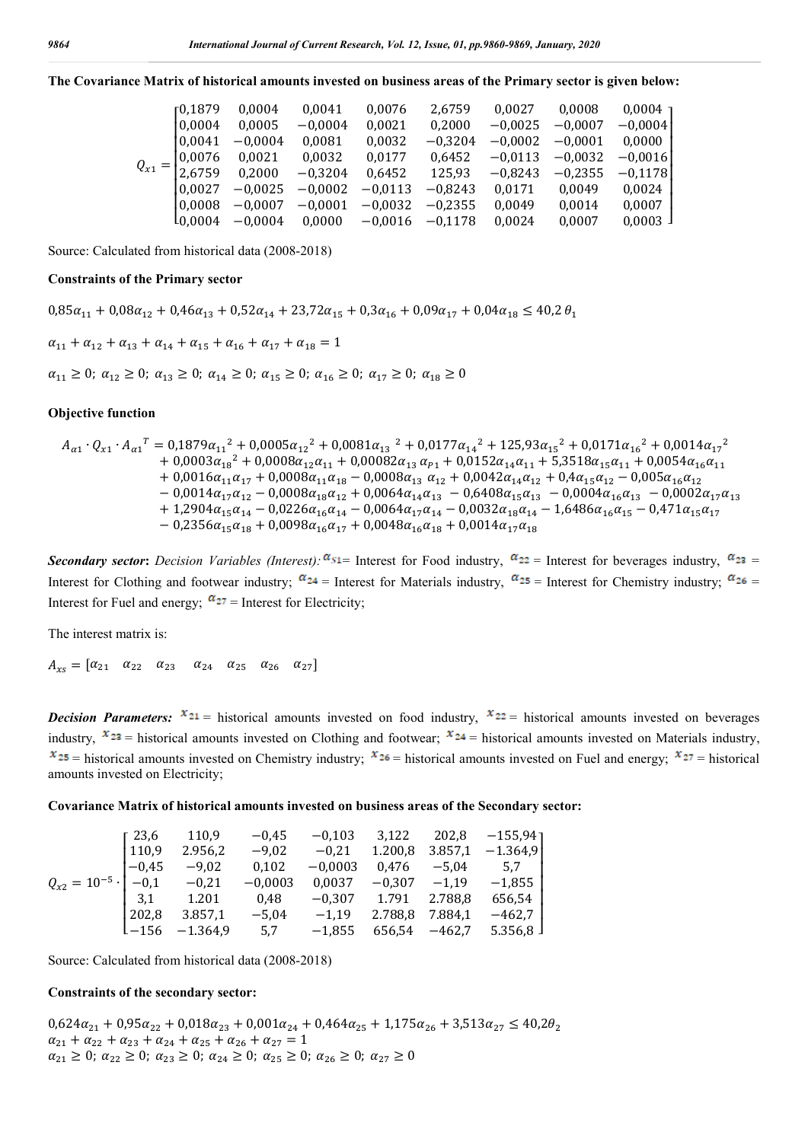**The Covariance Matrix of historical amounts invested on business areas of the Primary sector is given below:** 

|          | 0,1879              | 0,0004    | 0,0041    | 0.0076    | 2,6759    | 0.0027    | 0.0008    | $0,0004$ T |
|----------|---------------------|-----------|-----------|-----------|-----------|-----------|-----------|------------|
| $Q_{x1}$ | 0,0004              | 0,0005    | $-0,0004$ | 0,0021    | 0,2000    | $-0,0025$ | $-0,0007$ | $-0,0004$  |
|          | 0,0041              | $-0,0004$ | 0,0081    | 0,0032    | $-0,3204$ | $-0.0002$ | $-0,0001$ | 0,0000     |
|          | 0,0076              | 0,0021    | 0,0032    | 0,0177    | 0,6452    | $-0.0113$ | $-0,0032$ | $-0,0016$  |
|          | 2,6759              | 0,2000    | $-0,3204$ | 0.6452    | 125,93    | $-0.8243$ | $-0,2355$ | $-0.1178$  |
|          | 0,0027              | $-0,0025$ | $-0,0002$ | $-0,0113$ | $-0,8243$ | 0,0171    | 0,0049    | 0,0024     |
|          | 0,0008              | $-0,0007$ | $-0,0001$ | $-0,0032$ | $-0,2355$ | 0,0049    | 0,0014    | 0,0007     |
|          | L <sub>0.0004</sub> | $-0.0004$ | 0,0000    | $-0.0016$ | $-0.1178$ | 0,0024    | 0,0007    | 0,0003     |
|          |                     |           |           |           |           |           |           |            |

Source: Calculated from historical data (2008-2018)

### **Constraints of the Primary sector**

 $0.85\alpha_{11} + 0.08\alpha_{12} + 0.46\alpha_{13} + 0.52\alpha_{14} + 23.72\alpha_{15} + 0.3\alpha_{16} + 0.09\alpha_{17} + 0.04\alpha_{18} \le 40.2\theta_1$ 

$$
\alpha_{11} + \alpha_{12} + \alpha_{13} + \alpha_{14} + \alpha_{15} + \alpha_{16} + \alpha_{17} + \alpha_{18} = 1
$$

 $\alpha_{11} \geq 0$ ;  $\alpha_{12} \geq 0$ ;  $\alpha_{13} \geq 0$ ;  $\alpha_{14} \geq 0$ ;  $\alpha_{15} \geq 0$ ;  $\alpha_{16} \geq 0$ ;  $\alpha_{17} \geq 0$ ;  $\alpha_{18} \geq 0$ 

#### **Objective function**

$$
A_{\alpha 1} \cdot Q_{x1} \cdot A_{\alpha 1}^T = 0,1879\alpha_{11}^2 + 0,0005\alpha_{12}^2 + 0,0081\alpha_{13}^2 + 0,0177\alpha_{14}^2 + 125,93\alpha_{15}^2 + 0,0171\alpha_{16}^2 + 0,0014\alpha_{17}^2 + 0,0003\alpha_{18}^2 + 0,0008\alpha_{12}\alpha_{11} + 0,00082\alpha_{13}\alpha_{P1} + 0,0152\alpha_{14}\alpha_{11} + 5,3518\alpha_{15}\alpha_{11} + 0,0054\alpha_{16}\alpha_{11} + 0,0016\alpha_{11}\alpha_{17} + 0,0008\alpha_{11}\alpha_{18} - 0,0008\alpha_{13}\alpha_{12} + 0,0042\alpha_{14}\alpha_{12} + 0,4\alpha_{15}\alpha_{12} - 0,0054\alpha_{16}\alpha_{12} - 0,0014\alpha_{17}\alpha_{12} - 0,0008\alpha_{18}\alpha_{12} + 0,0064\alpha_{14}\alpha_{13} - 0,6408\alpha_{15}\alpha_{13} - 0,0004\alpha_{16}\alpha_{13} - 0,0002\alpha_{17}\alpha_{13} + 1,2904\alpha_{15}\alpha_{14} - 0,0226\alpha_{16}\alpha_{14} - 0,0064\alpha_{17}\alpha_{14} - 0,0032\alpha_{18}\alpha_{14} - 1,6486\alpha_{16}\alpha_{15} - 0,471\alpha_{15}\alpha_{17} - 0,2356\alpha_{15}\alpha_{18} + 0,0098\alpha_{16}\alpha_{17} + 0,0048\alpha_{16}\alpha_{18} + 0,0014\alpha_{17}\alpha_{18}
$$

**Secondary sector:** Decision Variables (Interest):  $a_{s1} =$  Interest for Food industry,  $a_{22} =$  Interest for beverages industry,  $a_{23} =$ Interest for Clothing and footwear industry;  $\alpha_{24}$  = Interest for Materials industry,  $\alpha_{25}$  = Interest for Chemistry industry;  $\alpha_{26}$  = Interest for Fuel and energy;  $a_{27} =$  Interest for Electricity;

The interest matrix is:

 $A_{rs} = [\alpha_{21} \quad \alpha_{22} \quad \alpha_{23} \quad \alpha_{24} \quad \alpha_{25} \quad \alpha_{26} \quad \alpha_{27}]$ 

*Decision Parameters:*  $x_{21}$  = historical amounts invested on food industry,  $x_{22}$  = historical amounts invested on beverages industry,  $x_{23}$  = historical amounts invested on Clothing and footwear;  $x_{24}$  = historical amounts invested on Materials industry,  $x_{25}$  = historical amounts invested on Chemistry industry;  $x_{26}$  = historical amounts invested on Fuel and energy;  $x_{27}$  = historical amounts invested on Electricity;

**Covariance Matrix of historical amounts invested on business areas of the Secondary sector:**

| $ -0.45 $<br>$-9,02$<br>0,102<br>$-0,0003$<br>0,476<br>$-5.04$<br>5.7<br>$Q_{x2} = 10^{-5} \cdot \vert -0.1$<br>$-0,21$<br>$-0,307$<br>$-0,0003$<br>0,0037<br>$-1.19$<br>$-1,855$<br>$\vert 3,1 \vert$<br>1.201<br>2.788,8<br>656,54<br>1.791<br>0,48<br>$-0.307$<br> 202,8<br>3.857,1<br>2.788,8<br>$-5,04$<br>7.884.1<br>$-462,7$<br>$-1.19$<br>$-1.364,9$<br>$1 - 156$<br>5,7<br>5.356,8<br>$-1,855$<br>656,54<br>$-462.7$ |
|-------------------------------------------------------------------------------------------------------------------------------------------------------------------------------------------------------------------------------------------------------------------------------------------------------------------------------------------------------------------------------------------------------------------------------|
|-------------------------------------------------------------------------------------------------------------------------------------------------------------------------------------------------------------------------------------------------------------------------------------------------------------------------------------------------------------------------------------------------------------------------------|

Source: Calculated from historical data (2008-2018)

## **Constraints of the secondary sector:**

 $0.624\alpha_{21} + 0.95\alpha_{22} + 0.018\alpha_{23} + 0.001\alpha_{24} + 0.464\alpha_{25} + 1.175\alpha_{26} + 3.513\alpha_{27} \le 40.2\theta_2$  $\alpha_{21} + \alpha_{22} + \alpha_{23} + \alpha_{24} + \alpha_{25} + \alpha_{26} + \alpha_{27} = 1$  $\alpha_{21} \geq 0$ ;  $\alpha_{22} \geq 0$ ;  $\alpha_{23} \geq 0$ ;  $\alpha_{24} \geq 0$ ;  $\alpha_{25} \geq 0$ ;  $\alpha_{26} \geq 0$ ;  $\alpha_{27} \geq 0$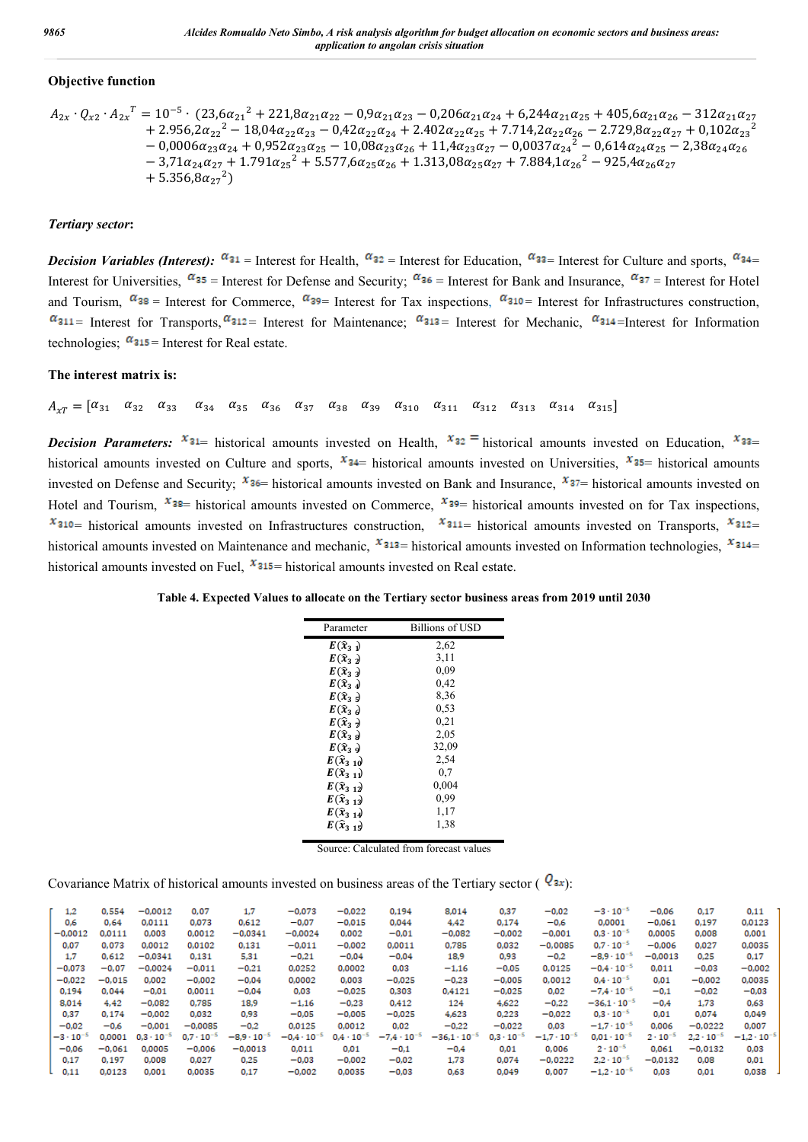### **Objective function**

 $A_{2x} \cdot Q_{x2} \cdot A_{2x}^T = 10^{-5} \cdot (23.6 \alpha_{21}^2 + 221.8 \alpha_{21} \alpha_{22} - 0.9 \alpha_{21} \alpha_{23} - 0.206 \alpha_{21} \alpha_{24} + 6.244 \alpha_{21} \alpha_{25} + 405.6 \alpha_{21} \alpha_{26} - 312 \alpha_{21} \alpha_{27}$ + 2.956,2 $\alpha_{22}^2$  – 18,04 $\alpha_{22} \alpha_{23}$  – 0,42 $\alpha_{22} \alpha_{24}$  + 2.402 $\alpha_{22} \alpha_{25}$  + 7.714,2 $\alpha_{22} \alpha_{26}$  – 2.729,8 $\alpha_{22} \alpha_{27}$  + 0,102 $\alpha_{23}$  $-$  0,0006 $\alpha_{23}\alpha_{24}$  + 0,952 $\alpha_{23}\alpha_{25}$  – 10,08 $\alpha_{23}\alpha_{26}$  + 11,4 $\alpha_{23}\alpha_{27}$  – 0,0037 $\alpha_{24}$ <sup>2</sup> – 0,614 $\alpha_{24}\alpha_{25}$  – 2,38 $\alpha_{24}\alpha_{26}$  $- 3,71\alpha_{24}\alpha_{27} + 1.791\alpha_{25}^2 + 5.577,6\alpha_{25}\alpha_{26} + 1.313,08\alpha_{25}\alpha_{27} + 7.884,1{\alpha_{26}}^2 - 925,4\alpha_{26}\alpha_{27}$  $+ 5.356.8\alpha_{27}{}^{2})$ 

## *Tertiary sector***:**

*Decision Variables (Interest):*  $\alpha_{31}$  = Interest for Health,  $\alpha_{32}$  = Interest for Education,  $\alpha_{33}$  = Interest for Culture and sports,  $\alpha_{34}$  = Interest for Universities,  $\alpha_{35}$  = Interest for Defense and Security;  $\alpha_{36}$  = Interest for Bank and Insurance,  $\alpha_{37}$  = Interest for Hotel and Tourism,  $\alpha_{38}$  = Interest for Commerce,  $\alpha_{39}$  = Interest for Tax inspections,  $\alpha_{310}$  = Interest for Infrastructures construction,  $a_{311}$  Interest for Transports,  $a_{312}$  Interest for Maintenance;  $a_{313}$  Interest for Mechanic,  $a_{314}$ =Interest for Information technologies;  $\alpha_{315}$  = Interest for Real estate.

#### **The interest matrix is:**

## $A_{\gamma T} = [\alpha_{31} \ \alpha_{32} \ \alpha_{33} \ \alpha_{34} \ \alpha_{35} \ \alpha_{36} \ \alpha_{37} \ \alpha_{38} \ \alpha_{39} \ \alpha_{310} \ \alpha_{311} \ \alpha_{312} \ \alpha_{313} \ \alpha_{314} \ \alpha_{315}]$

*Decision Parameters:*  $x_{31} =$  historical amounts invested on Health,  $x_{32} =$  historical amounts invested on Education,  $x_{33} =$ historical amounts invested on Culture and sports,  $x_{34}$  historical amounts invested on Universities,  $x_{35}$  historical amounts invested on Defense and Security;  $x_{36}$  historical amounts invested on Bank and Insurance,  $x_{37}$  historical amounts invested on Hotel and Tourism,  $x_{38}$  historical amounts invested on Commerce,  $x_{39}$  historical amounts invested on for Tax inspections,  $x_{310}$  historical amounts invested on Infrastructures construction,  $x_{311}$  historical amounts invested on Transports,  $x_{312}$ historical amounts invested on Maintenance and mechanic,  $x_{313} =$  historical amounts invested on Information technologies,  $x_{314} =$ historical amounts invested on Fuel,  $x_{315}$  historical amounts invested on Real estate.

**Table 4. Expected Values to allocate on the Tertiary sector business areas from 2019 until 2030**

| Parameter             | <b>Billions of USD</b> |
|-----------------------|------------------------|
| $E(\hat{x}_{31})$     | 2,62                   |
| $E(\widehat{x}_{32})$ | 3,11                   |
| $E(\hat{x}_{33})$     | 0.09                   |
| $E(\widehat{x}_{34})$ | 0,42                   |
| $E(\widehat{x}_{35})$ | 8,36                   |
| $E(\hat{x}_{36})$     | 0,53                   |
| $E(\widehat{x}_{37})$ | 0.21                   |
| $E(\hat{x}_{38})$     | 2,05                   |
| $E(\widehat{x}_{39})$ | 32,09                  |
| $E(\hat{x}_{310})$    | 2,54                   |
| $E(\hat{x}_{311})$    | 0,7                    |
| $E(\hat{x}_{312})$    | 0,004                  |
| $E(\hat{x}_{313})$    | 0,99                   |
| $E(\hat{x}_{314})$    | 1,17                   |
| $E(\hat{x}_{315})$    | 1,38                   |

Source: Calculated from forecast values

Covariance Matrix of historical amounts invested on business areas of the Tertiary sector ( $Q_{3x}$ ):

| 1,2       | 0.554    | $-0.0012$       | 0.07            | 1,7                  | $-0.073$             | $-0.022$        | 0.194                | 8.014                 | 0.37            | $-0,02$              | $-3 \cdot 10^{-7}$    | $-0.06$   | 0.17           | 0,11                 |
|-----------|----------|-----------------|-----------------|----------------------|----------------------|-----------------|----------------------|-----------------------|-----------------|----------------------|-----------------------|-----------|----------------|----------------------|
| 0,6       | 0.64     | 0,0111          | 0,073           | 0,612                | $-0.07$              | $-0.015$        | 0,044                | 4,42                  | 0,174           | $-0.6$               | 0,0001                | $-0.061$  | 0,197          | 0,0123               |
| $-0,0012$ | 0,0111   | 0,003           | 0,0012          | $-0,0341$            | $-0,0024$            | 0,002           | $-0.01$              | $-0,082$              | $-0,002$        | $-0,001$             | $0,3 \cdot 10^{-5}$   | 0,0005    | 0,008          | 0,001                |
| 0.07      | 0,073    | 0,0012          | 0,0102          | 0,131                | $-0.011$             | $-0,002$        | 0,0011               | 0,785                 | 0,032           | $-0.0085$            | $0.7 \cdot 10^{-5}$   | $-0,006$  | 0,027          | 0,0035               |
| 1,7       | 0,612    | $-0,0341$       | 0,131           | 5,31                 | $-0,21$              | $-0.04$         | $-0.04$              | 18,9                  | 0,93            | $-0.2$               | $-8.9 \cdot 10^{-5}$  | $-0,0013$ | 0,25           | 0,17                 |
| $-0.073$  | $-0.07$  | $-0,0024$       | $-0.011$        | $-0.21$              | 0,0252               | 0,0002          | 0,03                 | $-1,16$               | $-0.05$         | 0,0125               | $-0.4 \cdot 10^{-5}$  | 0.011     | $-0.03$        | $-0,002$             |
| $-0,022$  | $-0.015$ | 0.002           | $-0.002$        | $-0.04$              | 0.0002               | 0,003           | $-0.025$             | $-0,23$               | $-0.005$        | 0.0012               | $0.4 \cdot 10^{-3}$   | 0.01      | $-0.002$       | 0.0035               |
| 0,194     | 0,044    | $-0.01$         | 0,0011          | $-0.04$              | 0,03                 | $-0,025$        | 0,303                | 0,4121                | $-0,025$        | 0,02                 | $-7.4 \cdot 10^{-7}$  | $-0.1$    | $-0.02$        | $-0.03$              |
| 8,014     | 4.42     | $-0.082$        | 0,785           | 18,9                 | $-1,16$              | $-0.23$         | 0,412                | 124                   | 4,622           | $-0.22$              | $-36.1 \cdot 10^{-7}$ | $-0.4$    | 1.73           | 0,63                 |
| 0,37      | 0,174    | $-0,002$        | 0,032           | 0,93                 | $-0.05$              | $-0,005$        | $-0,025$             | 4,623                 | 0,223           | $-0,022$             | $0.3 - 10^{-7}$       | 0,01      | 0,074          | 0,049                |
| $-0.02$   | $-0.6$   | $-0.001$        | $-0.0085$       | $-0.2$               | 0,0125               | 0.0012          | 0.02                 | $-0.22$               | $-0.022$        | 0.03                 | $-1.7 \cdot 10^{-5}$  | 0,006     | $-0.0222$      | 0.007                |
| $-3.10$   | 0.0001   | $0.3 - 10^{-7}$ | $0.7 - 10^{-7}$ | $-8.9 \cdot 10^{-7}$ | $-0.4 \cdot 10^{-7}$ | $0.4 - 10^{-7}$ | $-7.4 \cdot 10^{-7}$ | $-36,1 \cdot 10^{-7}$ | $0.3 - 10^{-7}$ | $-1.7 \cdot 10^{-7}$ | $0.01 \cdot 10^{-5}$  | $2 - 10$  | $2,2 \cdot 10$ | $-1.2 \cdot 10^{-7}$ |
| $-0,06$   | $-0.061$ | 0.0005          | $-0,006$        | $-0.0013$            | 0.011                | 0.01            | $-0.1$               | $-0.4$                | 0.01            | 0,006                | $2 \cdot 10^{-5}$     | 0,061     | $-0.0132$      | 0,03                 |
| 0,17      | 0,197    | 0,008           | 0,027           | 0,25                 | $-0,03$              | $-0,002$        | $-0.02$              | 1,73                  | 0,074           | $-0,0222$            | $2.2 \cdot 10^{-5}$   | $-0,0132$ | 0,08           | 0,01                 |
| 0,11      | 0,0123   | 0.001           | 0,0035          | 0,17                 | $-0,002$             | 0,0035          | $-0.03$              | 0,63                  | 0,049           | 0.007                | $-1.2 \cdot 10^{-5}$  | 0,03      | 0.01           | 0,038                |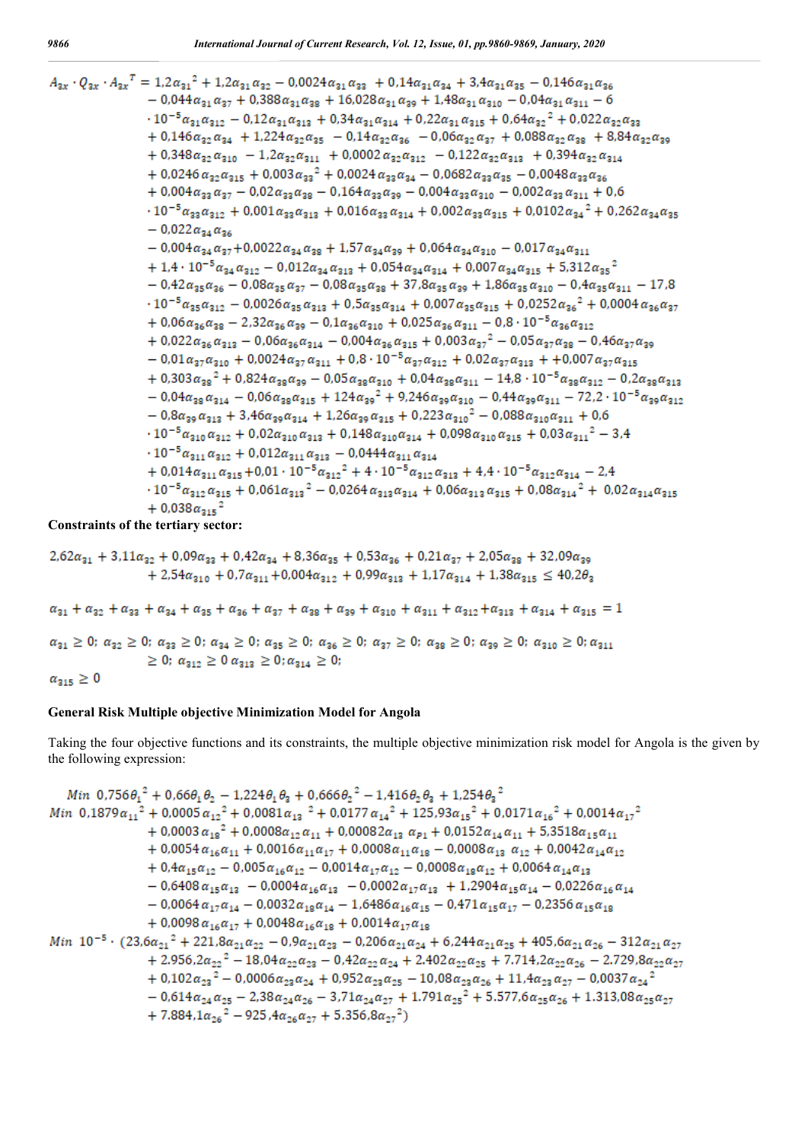$A_{2x} \cdot Q_{2x} \cdot A_{2x}^T = 1,2\alpha_{31}^2 + 1,2\alpha_{31}\alpha_{32} - 0,0024\alpha_{31}\alpha_{32} + 0,14\alpha_{31}\alpha_{34} + 3,4\alpha_{31}\alpha_{35} - 0,146\alpha_{31}\alpha_{36}$  $-0.044\alpha_{21}\alpha_{37} + 0.388\alpha_{31}\alpha_{38} + 16.028\alpha_{31}\alpha_{39} + 1.48\alpha_{31}\alpha_{310} - 0.04\alpha_{31}\alpha_{311} - 6$  $+10^{-5} \alpha_{21} \alpha_{312} - 0.12 \alpha_{31} \alpha_{313} + 0.34 \alpha_{31} \alpha_{314} + 0.22 \alpha_{31} \alpha_{315} + 0.64 \alpha_{32}^2 + 0.022 \alpha_{32} \alpha_{33}$ +  $0.146\alpha_{32}\alpha_{34} + 1.224\alpha_{32}\alpha_{35} - 0.14\alpha_{32}\alpha_{36} - 0.06\alpha_{32}\alpha_{37} + 0.088\alpha_{32}\alpha_{38} + 8.84\alpha_{32}\alpha_{39}$  $+0.348\alpha_{22}\alpha_{310} -1.2\alpha_{32}\alpha_{311} +0.0002\alpha_{32}\alpha_{312} -0.122\alpha_{32}\alpha_{313} +0.394\alpha_{32}\alpha_{314}$ + 0,0246  $\alpha_{32}\alpha_{315}$  + 0,003  $\alpha_{33}$ <sup>2</sup> + 0,0024  $\alpha_{33}\alpha_{34}$  - 0,0682  $\alpha_{33}\alpha_{35}$  - 0,0048  $\alpha_{33}\alpha_{36}$ +  $0.004\alpha_{33}\alpha_{37} - 0.02\alpha_{33}\alpha_{38} - 0.164\alpha_{33}\alpha_{39} - 0.004\alpha_{33}\alpha_{310} - 0.002\alpha_{33}\alpha_{311} + 0.6$  $+10^{-5} \alpha_{33} \alpha_{312} + 0.001 \alpha_{33} \alpha_{313} + 0.016 \alpha_{33} \alpha_{314} + 0.002 \alpha_{33} \alpha_{315} + 0.0102 \alpha_{34}^2 + 0.262 \alpha_{34} \alpha_{35}$  $-0.022 \alpha_{34} \alpha_{36}$  $-0.004\alpha_{24}\alpha_{37}+0.0022\alpha_{34}\alpha_{38}+1.57\alpha_{24}\alpha_{39}+0.064\alpha_{24}\alpha_{310}-0.017\alpha_{34}\alpha_{311}$ + 1,4 ·  $10^{-5}a_{34}a_{312} - 0.012a_{34}a_{313} + 0.054a_{34}a_{314} + 0.007a_{34}a_{315} + 5.312a_{35}^2$  $-0.42\alpha_{35}\alpha_{36} - 0.08\alpha_{35}\alpha_{37} - 0.08\alpha_{35}\alpha_{38} + 37.8\alpha_{35}\alpha_{39} + 1.86\alpha_{35}\alpha_{310} - 0.4\alpha_{35}\alpha_{311} - 17.8$  $+10^{-5} \alpha_{35} \alpha_{312} - 0.0026 \alpha_{35} \alpha_{313} + 0.5 \alpha_{35} \alpha_{314} + 0.007 \alpha_{35} \alpha_{315} + 0.0252 \alpha_{36}^2 + 0.0004 \alpha_{36} \alpha_{37}$ +  $0.06a_{26}a_{38} - 2.32a_{26}a_{39} - 0.1a_{26}a_{310} + 0.025a_{26}a_{311} - 0.8 \cdot 10^{-5}a_{26}a_{312}$ +  $0.022\alpha_{36}\alpha_{313} - 0.06\alpha_{36}\alpha_{314} - 0.004\alpha_{36}\alpha_{315} + 0.003\alpha_{37}^2 - 0.05\alpha_{37}\alpha_{38} - 0.46\alpha_{37}\alpha_{39}$  $-0.01\alpha_{37}\alpha_{310} + 0.0024\alpha_{37}\alpha_{311} + 0.8\cdot 10^{-5}\alpha_{37}\alpha_{312} + 0.02\alpha_{37}\alpha_{313} + 0.007\alpha_{37}\alpha_{315}$ +  $0.303\alpha_{38}^2$  +  $0.824\alpha_{38}\alpha_{39}$  -  $0.05\alpha_{38}\alpha_{310}$  +  $0.04\alpha_{38}\alpha_{311}$  -  $14.8\cdot10^{-5}\alpha_{38}\alpha_{312}$  -  $0.2\alpha_{38}\alpha_{313}$  $-0.04\alpha_{38}\alpha_{314} - 0.06\alpha_{38}\alpha_{315} + 124\alpha_{39}^2 + 9.246\alpha_{39}\alpha_{310} - 0.44\alpha_{39}\alpha_{311} - 72.2 \cdot 10^{-5}\alpha_{39}\alpha_{312}$  $-0.8\alpha_{39}\alpha_{313} + 3.46\alpha_{39}\alpha_{314} + 1.26\alpha_{39}\alpha_{315} + 0.223\alpha_{310}^2 - 0.088\alpha_{310}\alpha_{311} + 0.6$  $10^{-5}$  $\alpha_{310}$  $\alpha_{312}$  + 0,02 $\alpha_{310}$  $\alpha_{313}$  + 0,148 $\alpha_{310}$  $\alpha_{314}$  + 0,098 $\alpha_{310}$  $\alpha_{315}$  + 0,03 $\alpha_{311}$ <sup>2</sup> - 3,4  $\cdot 10^{-5} \alpha_{311} \alpha_{312} + 0.012 \alpha_{311} \alpha_{313} - 0.0444 \alpha_{311} \alpha_{314}$ +  $0.014\alpha_{311}\alpha_{315}+0.01\cdot 10^{-5}\alpha_{312}^2+4\cdot 10^{-5}\alpha_{312}\alpha_{313}+4.4\cdot 10^{-5}\alpha_{312}\alpha_{314}-2.4$  $+10^{-5} \alpha_{312} \alpha_{315} + 0.061 \alpha_{313}^2 - 0.0264 \alpha_{313} \alpha_{314} + 0.06 \alpha_{313} \alpha_{315} + 0.08 \alpha_{314}^2 + 0.02 \alpha_{314} \alpha_{315}$ +  $0.038a_{315}^2$ 

**Constraints of the tertiary sector:**

 $2.62\alpha_{21} + 3.11\alpha_{32} + 0.09\alpha_{33} + 0.42\alpha_{34} + 8.36\alpha_{35} + 0.53\alpha_{36} + 0.21\alpha_{37} + 2.05\alpha_{38} + 32.09\alpha_{39}$ + 2,54 $\alpha_{310}$  + 0,7 $\alpha_{311}$  + 0,004 $\alpha_{312}$  + 0,99 $\alpha_{313}$  + 1,17 $\alpha_{314}$  + 1,38 $\alpha_{315}$   $\leq$  40,2 $\theta_3$ 

 $\alpha_{31} + \alpha_{32} + \alpha_{33} + \alpha_{34} + \alpha_{35} + \alpha_{36} + \alpha_{37} + \alpha_{38} + \alpha_{39} + \alpha_{310} + \alpha_{311} + \alpha_{312} + \alpha_{313} + \alpha_{314} + \alpha_{315} = 1$ 

 $\alpha_{31} \geq 0$ ;  $\alpha_{32} \geq 0$ ;  $\alpha_{33} \geq 0$ ;  $\alpha_{34} \geq 0$ ;  $\alpha_{35} \geq 0$ ;  $\alpha_{36} \geq 0$ ;  $\alpha_{37} \geq 0$ ;  $\alpha_{38} \geq 0$ ;  $\alpha_{39} \geq 0$ ;  $\alpha_{310} \geq 0$ ;  $\alpha_{311}$  $\geq 0$ ;  $\alpha_{312} \geq 0$   $\alpha_{313} \geq 0$ ;  $\alpha_{314} \geq 0$ ;

 $2.22220$ 

 $\alpha_{315} \geq 0$ 

#### **General Risk Multiple objective Minimization Model for Angola**

Taking the four objective functions and its constraints, the multiple objective minimization risk model for Angola is the given by the following expression:

Min 0,756
$$
\theta_1^2 + 0.66\theta_1\theta_2 - 1.224\theta_1\theta_3 + 0.666\theta_2^2 - 1.416\theta_2\theta_3 + 1.254\theta_3^2
$$
  
\nMin 0,1879 $\alpha_{11}^2 + 0.0005\alpha_{12}^2 + 0.0081\alpha_{13}^2 + 0.0177\alpha_{14}^2 + 125.93\alpha_{15}^2 + 0.0171\alpha_{16}^2 + 0.0014\alpha_{17}^2$   
\n $+ 0.0003\alpha_{18}^2 + 0.0008\alpha_{12}\alpha_{11} + 0.00082\alpha_{13}\alpha_{p1} + 0.0152\alpha_{14}\alpha_{11} + 5.3518\alpha_{15}\alpha_{11}$   
\n $+ 0.0054\alpha_{16}\alpha_{11} + 0.0016\alpha_{11}\alpha_{17} + 0.0008\alpha_{11}\alpha_{18} - 0.0008\alpha_{13}\alpha_{12} + 0.0042\alpha_{14}\alpha_{12}$   
\n $+ 0.4\alpha_{15}\alpha_{12} - 0.005\alpha_{16}\alpha_{12} - 0.0014\alpha_{17}\alpha_{12} - 0.0008\alpha_{18}\alpha_{12} + 0.0064\alpha_{14}\alpha_{13}$   
\n $- 0.6408\alpha_{15}\alpha_{13} - 0.0004\alpha_{16}\alpha_{13} - 0.0002\alpha_{17}\alpha_{13} + 1.2904\alpha_{15}\alpha_{14} - 0.0226\alpha_{16}\alpha_{14}$   
\n $- 0.0064\alpha_{17}\alpha_{14} - 0.0032\alpha_{18}\alpha_{14} - 1.6486\alpha_{16}\alpha_{15} - 0.471\alpha_{15}\alpha_{17} - 0.2356\alpha_{15}\alpha_{18}$   
\n $+ 0.0098\alpha_{16}\alpha_{17} + 0.0048\alpha_{16}\alpha_{18} + 0.0014\alpha_{$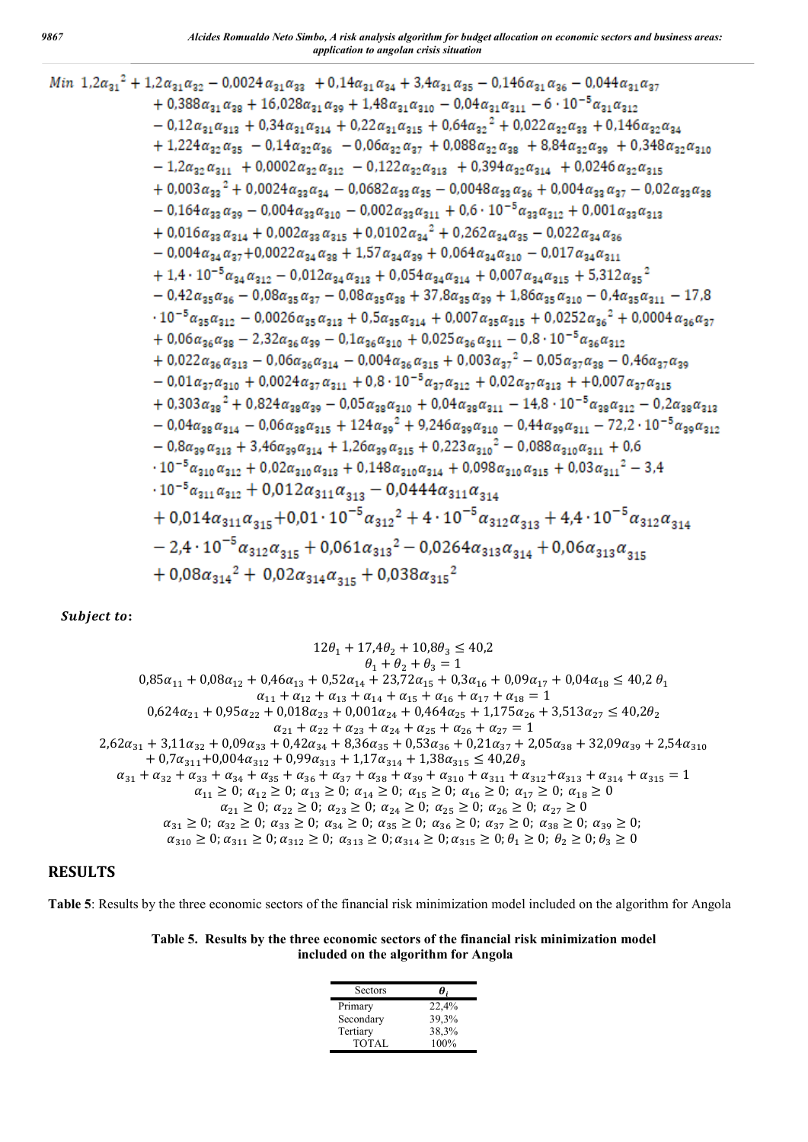**Subject to:** 

$$
12\theta_1 + 17,4\theta_2 + 10,8\theta_3 \le 40,2
$$
\n
$$
\theta_1 + \theta_2 + \theta_3 = 1
$$
\n
$$
0.85\alpha_{11} + 0.08\alpha_{12} + 0.46\alpha_{13} + 0.52\alpha_{14} + 23,72\alpha_{15} + 0.3\alpha_{16} + 0.09\alpha_{17} + 0.04\alpha_{18} \le 40,2\theta_1
$$
\n
$$
\alpha_{11} + \alpha_{12} + \alpha_{13} + \alpha_{14} + \alpha_{15} + \alpha_{16} + \alpha_{17} + \alpha_{18} = 1
$$
\n
$$
0.624\alpha_{21} + 0.95\alpha_{22} + 0.018\alpha_{23} + 0.001\alpha_{24} + 0.464\alpha_{25} + 1.175\alpha_{26} + 3,513\alpha_{27} \le 40,2\theta_2
$$
\n
$$
\alpha_{21} + \alpha_{22} + \alpha_{23} + \alpha_{24} + \alpha_{25} + \alpha_{26} + \alpha_{27} = 1
$$
\n
$$
2.62\alpha_{31} + 3,11\alpha_{32} + 0.09\alpha_{33} + 0.42\alpha_{34} + 8,36\alpha_{35} + 0.53\alpha_{36} + 0.21\alpha_{37} + 2,05\alpha_{38} + 32,09\alpha_{39} + 2,54\alpha_{310} + 0.7\alpha_{311} + 0.004\alpha_{312} + 0.99\alpha_{313} + 1.17\alpha_{314} + 1.38\alpha_{315} \le 40,2\theta_3
$$
\n
$$
\alpha_{31} + \alpha_{32} + \alpha_{33} + \alpha_{34} + \alpha_{35} + \alpha_{36} + \alpha_{37} + \alpha_{38} + \alpha_{39} + \alpha_{310} + \alpha_{311} + \alpha_{312} + \alpha_{313} + \alpha_{314} + \alpha_{315} = 1
$$
\n
$$
\alpha_{11} \ge 0; \
$$

# **RESULTS**

**Table 5**: Results by the three economic sectors of the financial risk minimization model included on the algorithm for Angola

**Table 5. Results by the three economic sectors of the financial risk minimization model included on the algorithm for Angola**

| Sectors   | θ     |
|-----------|-------|
| Primary   | 22,4% |
| Secondary | 39,3% |
| Tertiary  | 38,3% |
| TOTAL     | 100%  |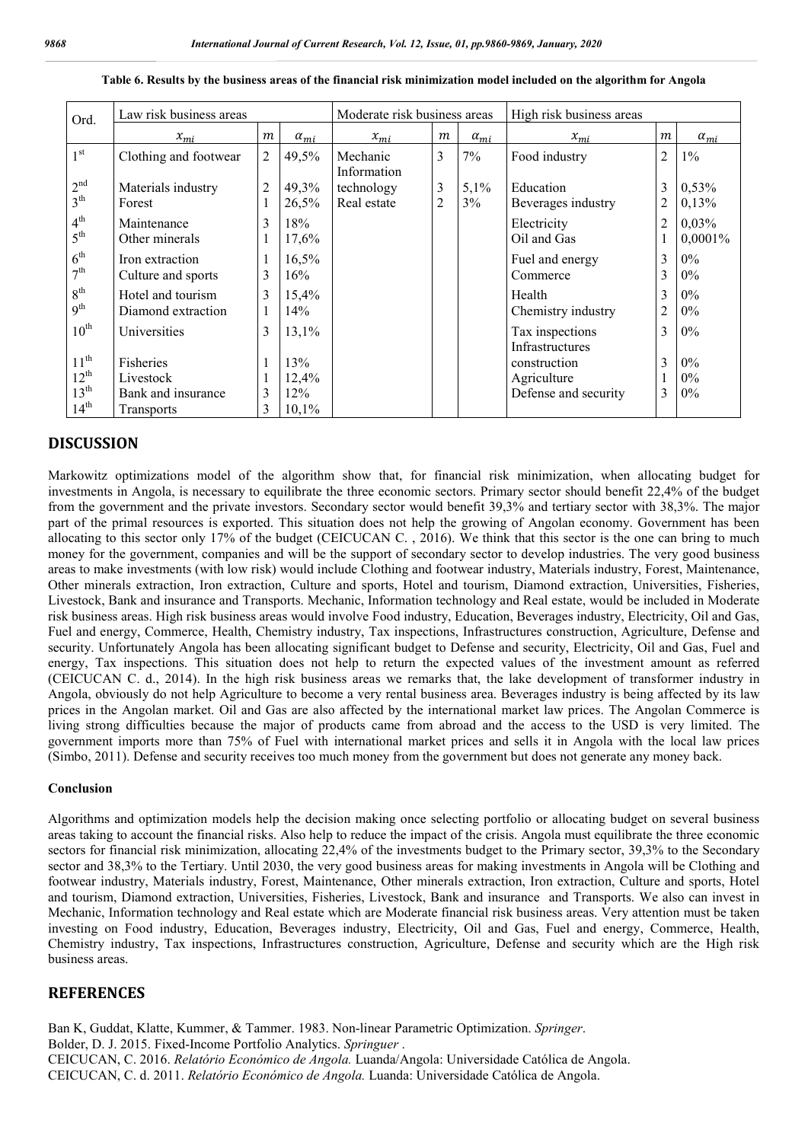| Ord.                               | Law risk business areas                 | Moderate risk business areas | High risk business areas |                           |                     |               |                                           |                |                     |
|------------------------------------|-----------------------------------------|------------------------------|--------------------------|---------------------------|---------------------|---------------|-------------------------------------------|----------------|---------------------|
|                                    | $x_{mi}$                                | m                            | $\alpha_{mi}$            | $x_{mi}$                  | m                   | $\alpha_{mi}$ | $x_{mi}$                                  |                | $\alpha_{mi}$       |
| 1 <sup>st</sup>                    | Clothing and footwear                   | $\overline{2}$               | 49,5%                    | Mechanic<br>Information   | 3                   | 7%            | Food industry                             | $\overline{c}$ | $1\%$               |
| 2 <sup>nd</sup><br>3 <sup>th</sup> | Materials industry<br>Forest            | 2<br>$\mathbf{1}$            | 49,3%<br>26,5%           | technology<br>Real estate | 3<br>$\overline{c}$ | 5,1%<br>3%    | Education<br>Beverages industry           | 3<br>2         | 0,53%<br>0,13%      |
| $4^{\text{th}}$<br>5 <sup>th</sup> | Maintenance<br>Other minerals           | $\overline{3}$<br>1          | 18%<br>17,6%             |                           |                     |               | Electricity<br>Oil and Gas                | 2              | 0,03%<br>$0,0001\%$ |
| $6^{\text{th}}$<br>7 <sup>th</sup> | Iron extraction<br>Culture and sports   | $\,1$<br>3                   | 16,5%<br>16%             |                           |                     |               | Fuel and energy<br>Commerce               | 3<br>3         | $0\%$<br>$0\%$      |
| 8 <sup>th</sup><br>9 <sup>th</sup> | Hotel and tourism<br>Diamond extraction | 3<br>$\mathbf{1}$            | 15,4%<br>14%             |                           |                     |               | Health<br>Chemistry industry              | 3<br>2         | $0\%$<br>$0\%$      |
| $10^{\text{th}}$                   | Universities                            | $\overline{3}$               | 13,1%                    |                           |                     |               | Tax inspections<br><b>Infrastructures</b> | 3              | $0\%$               |
| $11^{th}$                          | Fisheries                               | $\mathbf{1}$                 | 13%                      |                           |                     |               | construction                              | 3              | $0\%$               |
| $12^{th}$                          | Livestock                               | 1                            | 12,4%                    |                           |                     |               | Agriculture                               |                | $0\%$               |
| $13^{\text{th}}$                   | Bank and insurance                      | 3                            | 12%                      |                           |                     |               | Defense and security                      | 3              | $0\%$               |
| 14 <sup>th</sup>                   | <b>Transports</b>                       | 3                            | 10,1%                    |                           |                     |               |                                           |                |                     |

#### **Table 6. Results by the business areas of the financial risk minimization model included on the algorithm for Angola**

## **DISCUSSION**

Markowitz optimizations model of the algorithm show that, for financial risk minimization, when allocating budget for investments in Angola, is necessary to equilibrate the three economic sectors. Primary sector should benefit 22,4% of the budget from the government and the private investors. Secondary sector would benefit 39,3% and tertiary sector with 38,3%. The major part of the primal resources is exported. This situation does not help the growing of Angolan economy. Government has been allocating to this sector only 17% of the budget (CEICUCAN C. , 2016). We think that this sector is the one can bring to much money for the government, companies and will be the support of secondary sector to develop industries. The very good business areas to make investments (with low risk) would include Clothing and footwear industry, Materials industry, Forest, Maintenance, Other minerals extraction, Iron extraction, Culture and sports, Hotel and tourism, Diamond extraction, Universities, Fisheries, Livestock, Bank and insurance and Transports. Mechanic, Information technology and Real estate, would be included in Moderate risk business areas. High risk business areas would involve Food industry, Education, Beverages industry, Electricity, Oil and Gas, Fuel and energy, Commerce, Health, Chemistry industry, Tax inspections, Infrastructures construction, Agriculture, Defense and security. Unfortunately Angola has been allocating significant budget to Defense and security, Electricity, Oil and Gas, Fuel and energy, Tax inspections. This situation does not help to return the expected values of the investment amount as referred (CEICUCAN C. d., 2014). In the high risk business areas we remarks that, the lake development of transformer industry in Angola, obviously do not help Agriculture to become a very rental business area. Beverages industry is being affected by its law prices in the Angolan market. Oil and Gas are also affected by the international market law prices. The Angolan Commerce is living strong difficulties because the major of products came from abroad and the access to the USD is very limited. The government imports more than 75% of Fuel with international market prices and sells it in Angola with the local law prices (Simbo, 2011). Defense and security receives too much money from the government but does not generate any money back.

#### **Conclusion**

Algorithms and optimization models help the decision making once selecting portfolio or allocating budget on several business areas taking to account the financial risks. Also help to reduce the impact of the crisis. Angola must equilibrate the three economic sectors for financial risk minimization, allocating 22,4% of the investments budget to the Primary sector, 39,3% to the Secondary sector and 38,3% to the Tertiary. Until 2030, the very good business areas for making investments in Angola will be Clothing and footwear industry, Materials industry, Forest, Maintenance, Other minerals extraction, Iron extraction, Culture and sports, Hotel and tourism, Diamond extraction, Universities, Fisheries, Livestock, Bank and insurance and Transports. We also can invest in Mechanic, Information technology and Real estate which are Moderate financial risk business areas. Very attention must be taken investing on Food industry, Education, Beverages industry, Electricity, Oil and Gas, Fuel and energy, Commerce, Health, Chemistry industry, Tax inspections, Infrastructures construction, Agriculture, Defense and security which are the High risk business areas.

## **REFERENCES**

Ban K, Guddat, Klatte, Kummer, & Tammer. 1983. Non-linear Parametric Optimization. *Springer*. Bolder, D. J. 2015. Fixed-Income Portfolio Analytics. *Springuer* . CEICUCAN, C. 2016. *Relatório Económico de Angola.* Luanda/Angola: Universidade Católica de Angola. CEICUCAN, C. d. 2011. *Relatório Económico de Angola.* Luanda: Universidade Católica de Angola.